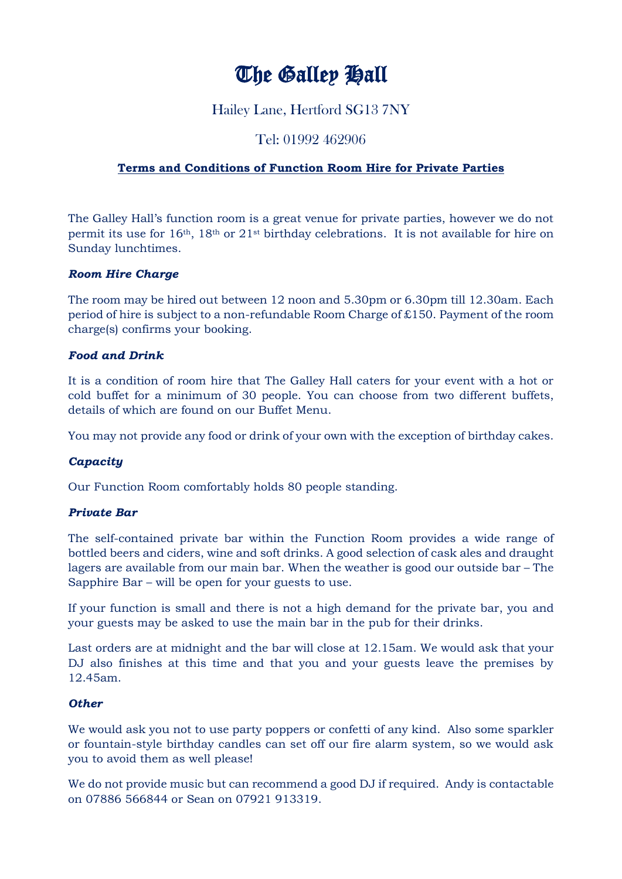# The Galley Hall

## Hailey Lane, Hertford SG13 7NY

## Tel: 01992 462906

### **Terms and Conditions of Function Room Hire for Private Parties**

The Galley Hall's function room is a great venue for private parties, however we do not permit its use for 16th, 18th or 21st birthday celebrations. It is not available for hire on Sunday lunchtimes.

#### *Room Hire Charge*

The room may be hired out between 12 noon and 5.30pm or 6.30pm till 12.30am. Each period of hire is subject to a non-refundable Room Charge of £150. Payment of the room charge(s) confirms your booking.

#### *Food and Drink*

It is a condition of room hire that The Galley Hall caters for your event with a hot or cold buffet for a minimum of 30 people. You can choose from two different buffets, details of which are found on our Buffet Menu.

You may not provide any food or drink of your own with the exception of birthday cakes.

#### *Capacity*

Our Function Room comfortably holds 80 people standing.

#### *Private Bar*

The self-contained private bar within the Function Room provides a wide range of bottled beers and ciders, wine and soft drinks. A good selection of cask ales and draught lagers are available from our main bar. When the weather is good our outside bar – The Sapphire Bar – will be open for your guests to use.

If your function is small and there is not a high demand for the private bar, you and your guests may be asked to use the main bar in the pub for their drinks.

Last orders are at midnight and the bar will close at 12.15am. We would ask that your DJ also finishes at this time and that you and your guests leave the premises by 12.45am.

#### *Other*

We would ask you not to use party poppers or confetti of any kind. Also some sparkler or fountain-style birthday candles can set off our fire alarm system, so we would ask you to avoid them as well please!

We do not provide music but can recommend a good DJ if required. Andy is contactable on 07886 566844 or Sean on 07921 913319.